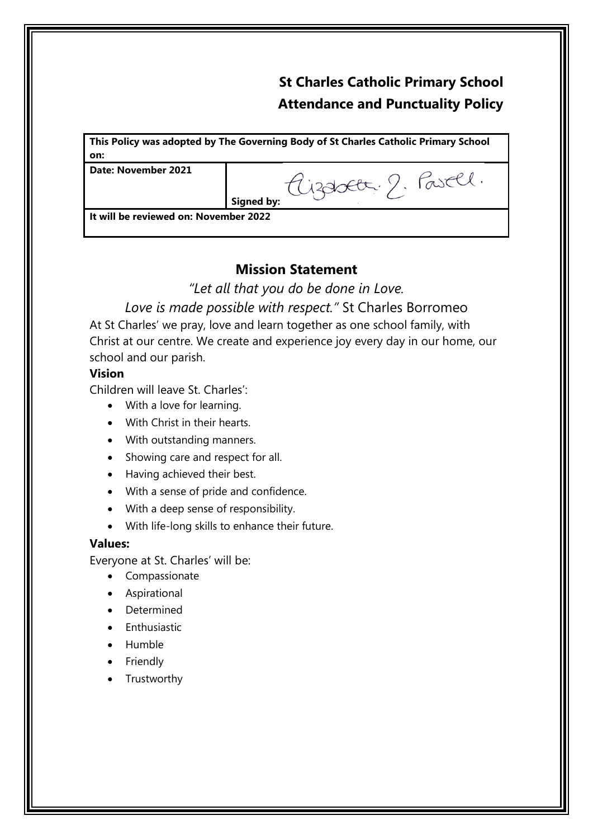# **St Charles Catholic Primary School Attendance and Punctuality Policy**

**This Policy was adopted by The Governing Body of St Charles Catholic Primary School on:**

**Date: November 2021**

Aizabet 2. Pasell. **Signed by:**

**It will be reviewed on: November 2022**

# **Mission Statement**

*"Let all that you do be done in Love.*

*Love is made possible with respect."* St Charles Borromeo

At St Charles' we pray, love and learn together as one school family, with Christ at our centre. We create and experience joy every day in our home, our school and our parish.

## **Vision**

Children will leave St. Charles':

- With a love for learning.
- With Christ in their hearts.
- With outstanding manners.
- Showing care and respect for all.
- Having achieved their best.
- With a sense of pride and confidence.
- With a deep sense of responsibility.
- With life-long skills to enhance their future.

#### **Values:**

Everyone at St. Charles' will be:

- Compassionate
- Aspirational
- Determined
- Enthusiastic
- Humble
- Friendly
- **Trustworthy**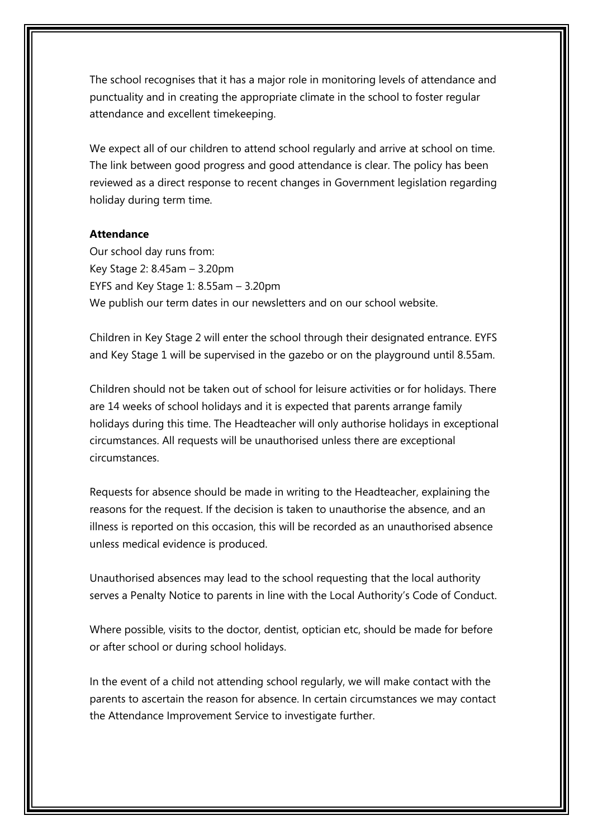The school recognises that it has a major role in monitoring levels of attendance and punctuality and in creating the appropriate climate in the school to foster regular attendance and excellent timekeeping.

We expect all of our children to attend school regularly and arrive at school on time. The link between good progress and good attendance is clear. The policy has been reviewed as a direct response to recent changes in Government legislation regarding holiday during term time.

## **Attendance**

Our school day runs from: Key Stage 2: 8.45am – 3.20pm EYFS and Key Stage 1: 8.55am – 3.20pm We publish our term dates in our newsletters and on our school website.

Children in Key Stage 2 will enter the school through their designated entrance. EYFS and Key Stage 1 will be supervised in the gazebo or on the playground until 8.55am.

Children should not be taken out of school for leisure activities or for holidays. There are 14 weeks of school holidays and it is expected that parents arrange family holidays during this time. The Headteacher will only authorise holidays in exceptional circumstances. All requests will be unauthorised unless there are exceptional circumstances.

Requests for absence should be made in writing to the Headteacher, explaining the reasons for the request. If the decision is taken to unauthorise the absence, and an illness is reported on this occasion, this will be recorded as an unauthorised absence unless medical evidence is produced.

Unauthorised absences may lead to the school requesting that the local authority serves a Penalty Notice to parents in line with the Local Authority's Code of Conduct.

Where possible, visits to the doctor, dentist, optician etc, should be made for before or after school or during school holidays.

In the event of a child not attending school regularly, we will make contact with the parents to ascertain the reason for absence. In certain circumstances we may contact the Attendance Improvement Service to investigate further.